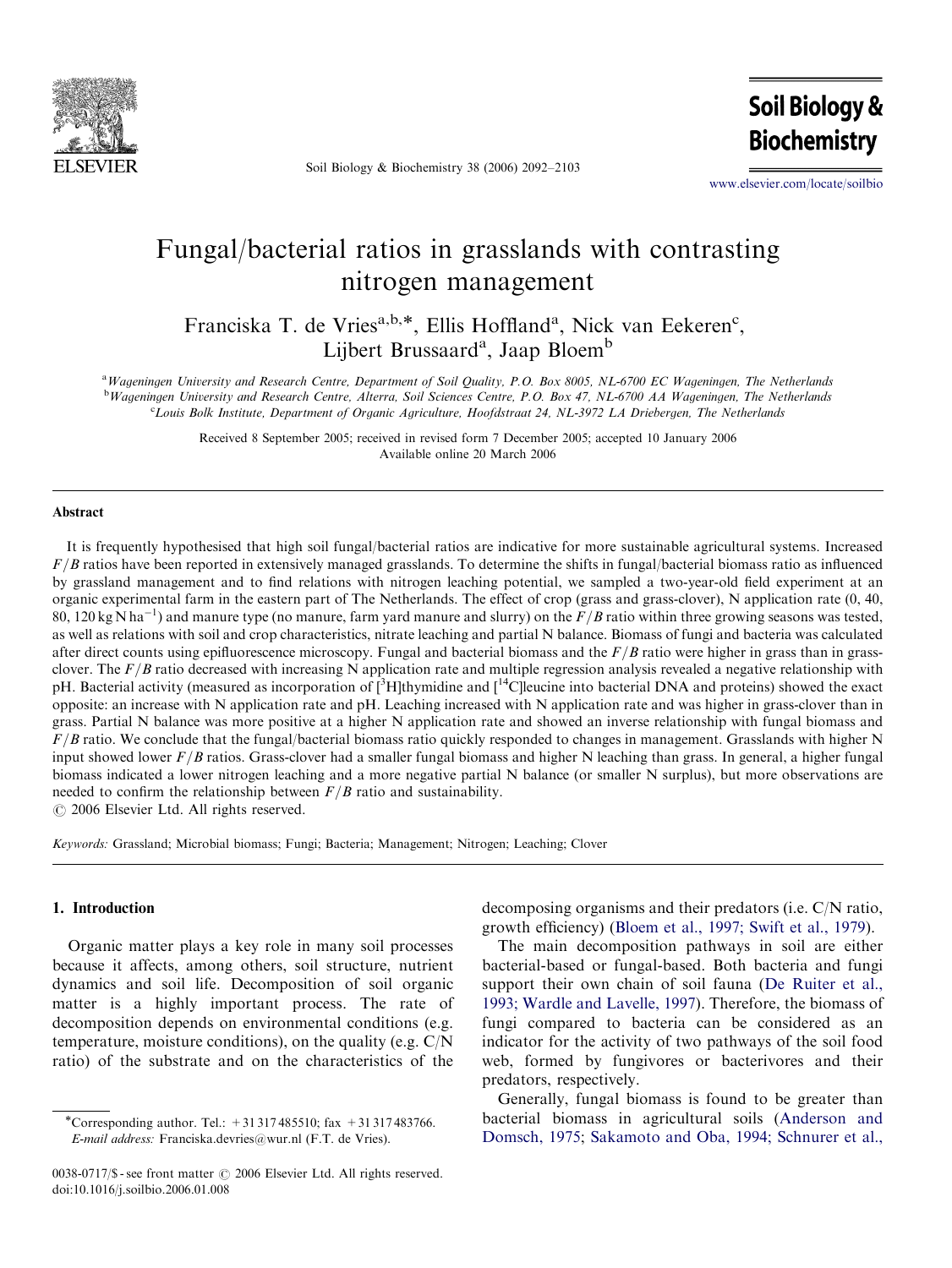

Soil Biology & Biochemistry 38 (2006) 2092–2103

**Soil Biology & Biochemistry** 

<www.elsevier.com/locate/soilbio>

# Fungal/bacterial ratios in grasslands with contrasting nitrogen management

Franciska T. de Vries<sup>a,b,\*</sup>, Ellis Hoffland<sup>a</sup>, Nick van Eekeren<sup>c</sup>, Lijbert Brussaard<sup>a</sup>, Jaap Bloem<sup>b</sup>

<sup>a</sup> Wageningen University and Research Centre, Department of Soil Quality, P.O. Box 8005, NL-6700 EC Wageningen, The Netherlands <sup>b</sup>Wageningen University and Research Centre, Alterra, Soil Sciences Centre, P.O. Box 47, NL-6700 AA Wageningen, The Netherlands c Louis Bolk Institute, Department of Organic Agriculture, Hoofdstraat 24, NL-3972 LA Driebergen, The Netherlands

> Received 8 September 2005; received in revised form 7 December 2005; accepted 10 January 2006 Available online 20 March 2006

#### Abstract

It is frequently hypothesised that high soil fungal/bacterial ratios are indicative for more sustainable agricultural systems. Increased  $F/B$  ratios have been reported in extensively managed grasslands. To determine the shifts in fungal/bacterial biomass ratio as influenced by grassland management and to find relations with nitrogen leaching potential, we sampled a two-year-old field experiment at an organic experimental farm in the eastern part of The Netherlands. The effect of crop (grass and grass-clover), N application rate (0, 40, 80, 120 kg N ha $^{-1}$ ) and manure type (no manure, farm yard manure and slurry) on the  $F/B$  ratio within three growing seasons was tested, as well as relations with soil and crop characteristics, nitrate leaching and partial N balance. Biomass of fungi and bacteria was calculated after direct counts using epifluorescence microscopy. Fungal and bacterial biomass and the  $F/B$  ratio were higher in grassclover. The  $F/B$  ratio decreased with increasing N application rate and multiple regression analysis revealed a negative relationship with pH. Bacterial activity (measured as incorporation of [<sup>3</sup>H]thymidine and [<sup>14</sup>C]leucine into bacterial DNA and proteins) showed the exact opposite: an increase with N application rate and pH. Leaching increased with N application rate and was higher in grass-clover than in grass. Partial N balance was more positive at a higher N application rate and showed an inverse relationship with fungal biomass and  $F/B$  ratio. We conclude that the fungal/bacterial biomass ratio quickly responded to changes in management. Grasslands with higher N input showed lower  $F/B$  ratios. Grass-clover had a smaller fungal biomass and higher N leaching than grass. In general, a higher fungal biomass indicated a lower nitrogen leaching and a more negative partial N balance (or smaller N surplus), but more observations are needed to confirm the relationship between  $F/B$  ratio and sustainability.

 $\odot$  2006 Elsevier Ltd. All rights reserved.

Keywords: Grassland; Microbial biomass; Fungi; Bacteria; Management; Nitrogen; Leaching; Clover

#### 1. Introduction

Organic matter plays a key role in many soil processes because it affects, among others, soil structure, nutrient dynamics and soil life. Decomposition of soil organic matter is a highly important process. The rate of decomposition depends on environmental conditions (e.g. temperature, moisture conditions), on the quality (e.g. C/N ratio) of the substrate and on the characteristics of the

decomposing organisms and their predators (i.e. C/N ratio, growth efficiency) ([Bloem et al., 1997; Swift et al., 1979\)](#page-9-0).

The main decomposition pathways in soil are either bacterial-based or fungal-based. Both bacteria and fungi support their own chain of soil fauna [\(De Ruiter et al.,](#page-9-0) [1993; Wardle and Lavelle, 1997](#page-9-0)). Therefore, the biomass of fungi compared to bacteria can be considered as an indicator for the activity of two pathways of the soil food web, formed by fungivores or bacterivores and their predators, respectively.

Generally, fungal biomass is found to be greater than bacterial biomass in agricultural soils ([Anderson and](#page-9-0) [Domsch, 1975](#page-9-0); [Sakamoto and Oba, 1994; Schnurer et al.,](#page-10-0)

<sup>\*</sup>Corresponding author. Tel.:  $+31317485510$ ; fax  $+31317483766$ . E-mail address: Franciska.devries@wur.nl (F.T. de Vries).

 $0038-0717/\$ \$ - see front matter  $\odot$  2006 Elsevier Ltd. All rights reserved. doi:10.1016/j.soilbio.2006.01.008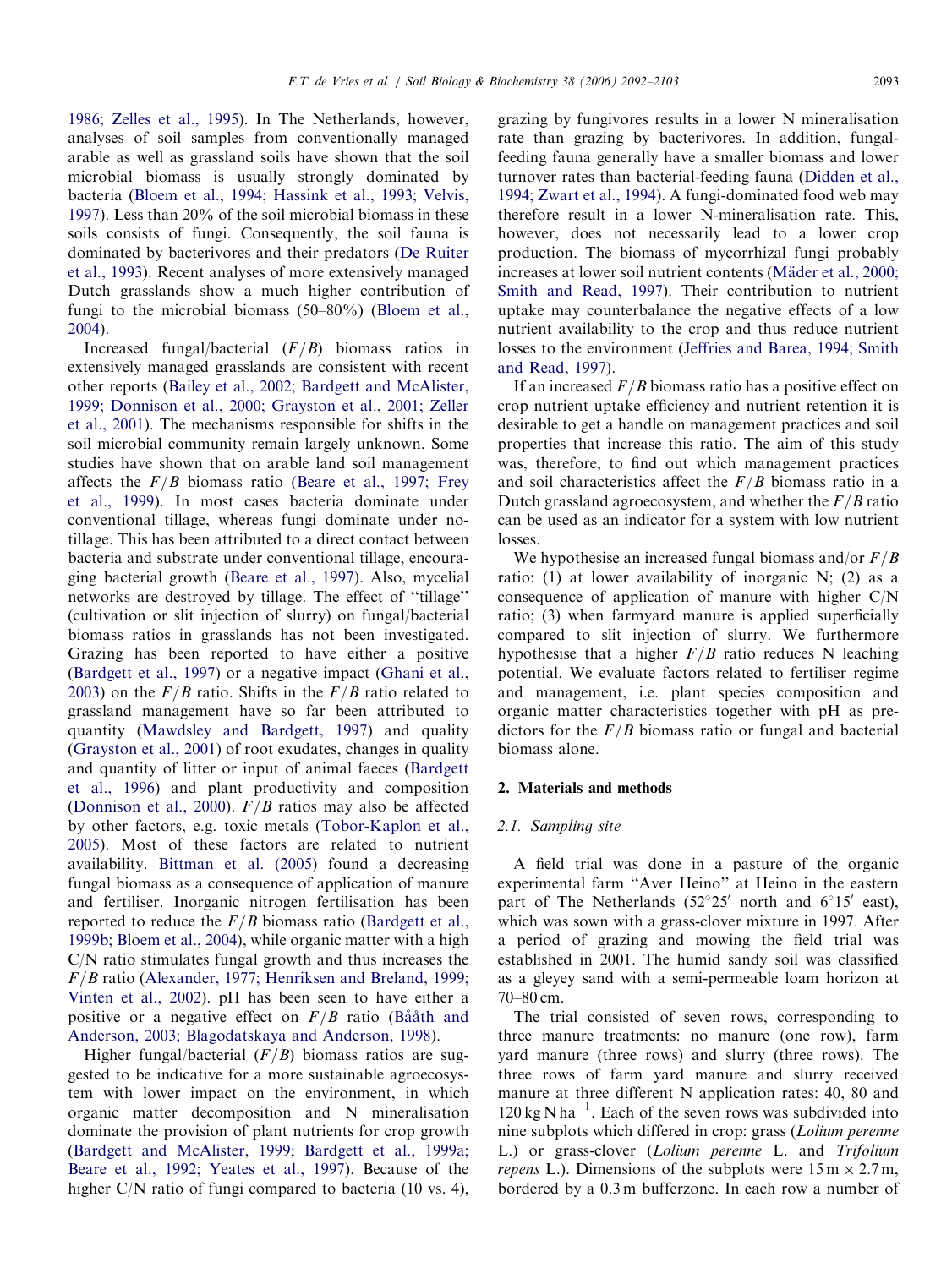[1986; Zelles et al., 1995](#page-10-0)). In The Netherlands, however, analyses of soil samples from conventionally managed arable as well as grassland soils have shown that the soil microbial biomass is usually strongly dominated by bacteria ([Bloem et al., 1994; Hassink et al., 1993; Velvis,](#page-9-0) [1997](#page-9-0)). Less than 20% of the soil microbial biomass in these soils consists of fungi. Consequently, the soil fauna is dominated by bacterivores and their predators [\(De Ruiter](#page-9-0) [et al., 1993](#page-9-0)). Recent analyses of more extensively managed Dutch grasslands show a much higher contribution of fungi to the microbial biomass (50–80%) ([Bloem et al.,](#page-9-0) [2004](#page-9-0)).

Increased fungal/bacterial  $(F/B)$  biomass ratios in extensively managed grasslands are consistent with recent other reports [\(Bailey et al., 2002; Bardgett and McAlister,](#page-9-0) [1999; Donnison et al., 2000; Grayston et al., 2001; Zeller](#page-9-0) [et al., 2001](#page-9-0)). The mechanisms responsible for shifts in the soil microbial community remain largely unknown. Some studies have shown that on arable land soil management affects the  $F/B$  biomass ratio ([Beare et al., 1997; Frey](#page-9-0) [et al., 1999\)](#page-9-0). In most cases bacteria dominate under conventional tillage, whereas fungi dominate under notillage. This has been attributed to a direct contact between bacteria and substrate under conventional tillage, encouraging bacterial growth ([Beare et al., 1997\)](#page-9-0). Also, mycelial networks are destroyed by tillage. The effect of ''tillage'' (cultivation or slit injection of slurry) on fungal/bacterial biomass ratios in grasslands has not been investigated. Grazing has been reported to have either a positive ([Bardgett et al., 1997\)](#page-9-0) or a negative impact [\(Ghani et al.,](#page-10-0) [2003](#page-10-0)) on the  $F/B$  ratio. Shifts in the  $F/B$  ratio related to grassland management have so far been attributed to quantity ([Mawdsley and Bardgett, 1997\)](#page-10-0) and quality ([Grayston et al., 2001](#page-10-0)) of root exudates, changes in quality and quantity of litter or input of animal faeces ([Bardgett](#page-9-0) [et al., 1996\)](#page-9-0) and plant productivity and composition ([Donnison et al., 2000](#page-9-0)).  $F/B$  ratios may also be affected by other factors, e.g. toxic metals ([Tobor-Kaplon et al.,](#page-10-0) [2005](#page-10-0)). Most of these factors are related to nutrient availability. [Bittman et al. \(2005\)](#page-9-0) found a decreasing fungal biomass as a consequence of application of manure and fertiliser. Inorganic nitrogen fertilisation has been reported to reduce the  $F/B$  biomass ratio [\(Bardgett et al.,](#page-9-0) [1999b; Bloem et al., 2004](#page-9-0)), while organic matter with a high C/N ratio stimulates fungal growth and thus increases the  $F/B$  ratio ([Alexander, 1977; Henriksen and Breland, 1999;](#page-9-0) [Vinten et al., 2002](#page-9-0)). pH has been seen to have either a positive or a negative effect on  $F/B$  ratio (Ba $\hat{a}$ ath and [Anderson, 2003; Blagodatskaya and Anderson, 1998\)](#page-9-0).

Higher fungal/bacterial  $(F/B)$  biomass ratios are suggested to be indicative for a more sustainable agroecosystem with lower impact on the environment, in which organic matter decomposition and N mineralisation dominate the provision of plant nutrients for crop growth ([Bardgett and McAlister, 1999; Bardgett et al., 1999a;](#page-9-0) [Beare et al., 1992; Yeates et al., 1997\)](#page-9-0). Because of the higher C/N ratio of fungi compared to bacteria (10 vs. 4), grazing by fungivores results in a lower N mineralisation rate than grazing by bacterivores. In addition, fungalfeeding fauna generally have a smaller biomass and lower turnover rates than bacterial-feeding fauna [\(Didden et al.,](#page-9-0) [1994; Zwart et al., 1994\)](#page-9-0). A fungi-dominated food web may therefore result in a lower N-mineralisation rate. This, however, does not necessarily lead to a lower crop production. The biomass of mycorrhizal fungi probably increases at lower soil nutrient contents (Mäder et al., 2000; [Smith and Read, 1997\)](#page-10-0). Their contribution to nutrient uptake may counterbalance the negative effects of a low nutrient availability to the crop and thus reduce nutrient losses to the environment ([Jeffries and Barea, 1994; Smith](#page-10-0) [and Read, 1997](#page-10-0)).

If an increased  $F/B$  biomass ratio has a positive effect on crop nutrient uptake efficiency and nutrient retention it is desirable to get a handle on management practices and soil properties that increase this ratio. The aim of this study was, therefore, to find out which management practices and soil characteristics affect the  $F/B$  biomass ratio in a Dutch grassland agroecosystem, and whether the  $F/B$  ratio can be used as an indicator for a system with low nutrient losses.

We hypothesise an increased fungal biomass and/or  $F/B$ ratio: (1) at lower availability of inorganic N; (2) as a consequence of application of manure with higher C/N ratio; (3) when farmyard manure is applied superficially compared to slit injection of slurry. We furthermore hypothesise that a higher  $F/B$  ratio reduces N leaching potential. We evaluate factors related to fertiliser regime and management, i.e. plant species composition and organic matter characteristics together with pH as predictors for the  $F/B$  biomass ratio or fungal and bacterial biomass alone.

#### 2. Materials and methods

#### 2.1. Sampling site

A field trial was done in a pasture of the organic experimental farm ''Aver Heino'' at Heino in the eastern part of The Netherlands  $(52^{\circ}25'$  north and  $6^{\circ}15'$  east), which was sown with a grass-clover mixture in 1997. After a period of grazing and mowing the field trial was established in 2001. The humid sandy soil was classified as a gleyey sand with a semi-permeable loam horizon at 70–80 cm.

The trial consisted of seven rows, corresponding to three manure treatments: no manure (one row), farm yard manure (three rows) and slurry (three rows). The three rows of farm yard manure and slurry received manure at three different N application rates: 40, 80 and  $120 \text{ kg N} \text{ ha}^{-1}$ . Each of the seven rows was subdivided into nine subplots which differed in crop: grass (Lolium perenne L.) or grass-clover (Lolium perenne L. and Trifolium *repens* L.). Dimensions of the subplots were  $15 \text{ m} \times 2.7 \text{ m}$ , bordered by a 0.3 m bufferzone. In each row a number of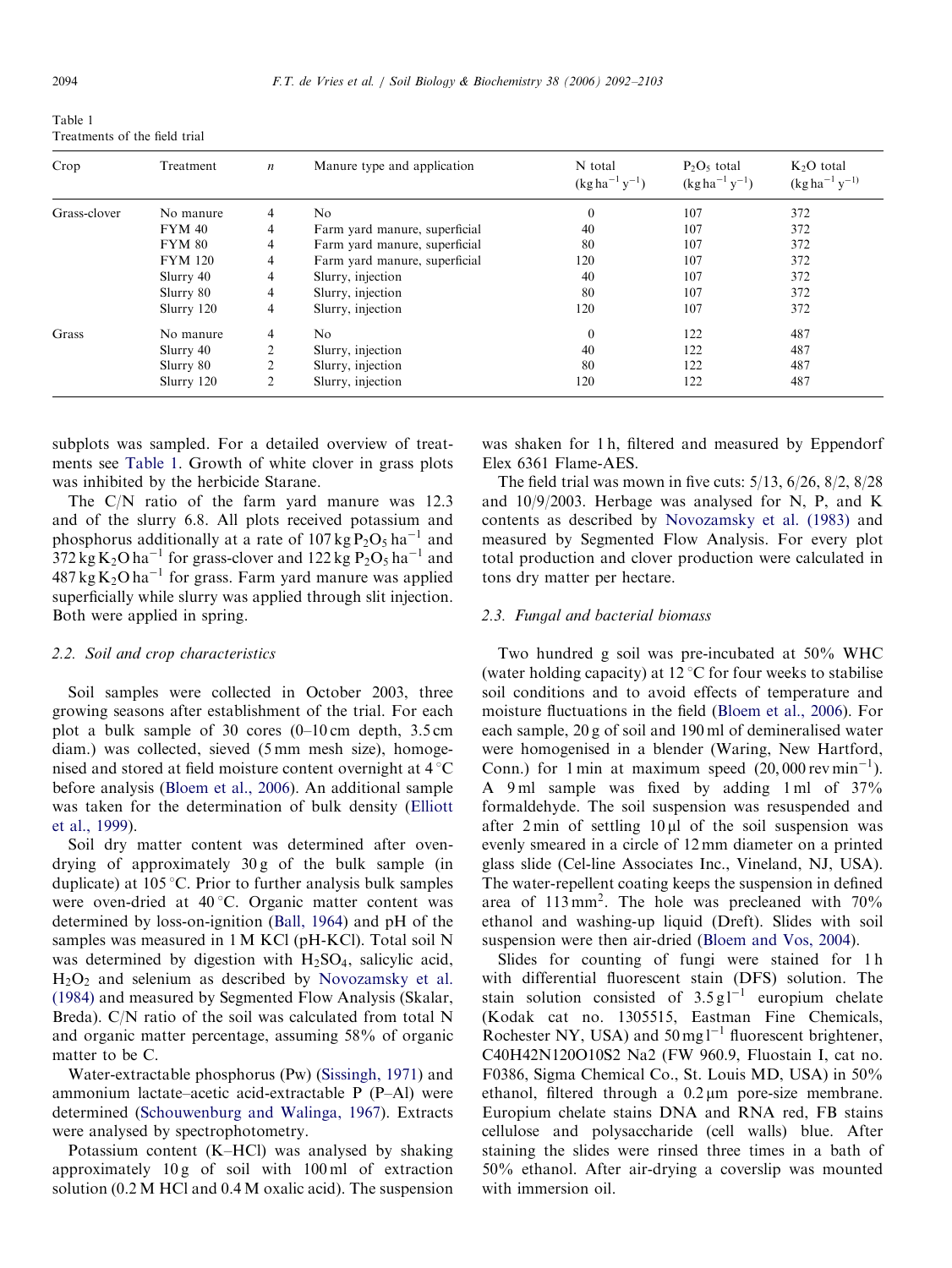<span id="page-2-0"></span>Table 1

| Treatments of the field trial |  |  |
|-------------------------------|--|--|
|                               |  |  |

| Crop         | Treatment      | $\boldsymbol{n}$ | Manure type and application   | N total<br>$(kg ha^{-1}y^{-1})$ | $P_2O_5$ total<br>$(kg ha^{-1}y^{-1})$ | $K2O$ total<br>$(\text{kg ha}^{-1} \text{ y}^{-1})$ |
|--------------|----------------|------------------|-------------------------------|---------------------------------|----------------------------------------|-----------------------------------------------------|
| Grass-clover | No manure      | 4                | N <sub>o</sub>                | $\theta$                        | 107                                    | 372                                                 |
|              | $FYM$ 40       | 4                | Farm yard manure, superficial | 40                              | 107                                    | 372                                                 |
|              | <b>FYM 80</b>  | 4                | Farm yard manure, superficial | 80                              | 107                                    | 372                                                 |
|              | <b>FYM 120</b> | 4                | Farm yard manure, superficial | 120                             | 107                                    | 372                                                 |
|              | Slurry 40      | 4                | Slurry, injection             | 40                              | 107                                    | 372                                                 |
|              | Slurry 80      | 4                | Slurry, injection             | 80                              | 107                                    | 372                                                 |
|              | Slurry 120     | 4                | Slurry, injection             | 120                             | 107                                    | 372                                                 |
| Grass        | No manure      | 4                | No.                           | $\mathbf{0}$                    | 122                                    | 487                                                 |
|              | Slurry 40      |                  | Slurry, injection             | 40                              | 122                                    | 487                                                 |
|              | Slurry 80      | $\mathfrak{D}$   | Slurry, injection             | 80                              | 122                                    | 487                                                 |
|              | Slurry 120     | 2                | Slurry, injection             | 120                             | 122                                    | 487                                                 |

subplots was sampled. For a detailed overview of treatments see Table 1. Growth of white clover in grass plots was inhibited by the herbicide Starane.

The C/N ratio of the farm yard manure was 12.3 and of the slurry 6.8. All plots received potassium and phosphorus additionally at a rate of  $107 \text{ kg} \text{P}_2\text{O}_5 \text{ha}^{-1}$  and  $372 \text{ kg K}_2\text{O ha}^{-1}$  for grass-clover and  $122 \text{ kg P}_2\text{O}_5\text{ha}^{-1}$  and  $487 \text{ kg K}_2\text{O} \text{ha}^{-1}$  for grass. Farm yard manure was applied superficially while slurry was applied through slit injection. Both were applied in spring.

### 2.2. Soil and crop characteristics

Soil samples were collected in October 2003, three growing seasons after establishment of the trial. For each plot a bulk sample of 30 cores  $(0-10 \text{ cm}$  depth, 3.5 cm diam.) was collected, sieved (5 mm mesh size), homogenised and stored at field moisture content overnight at  $4^{\circ}$ C before analysis [\(Bloem et al., 2006](#page-9-0)). An additional sample was taken for the determination of bulk density ([Elliott](#page-10-0) [et al., 1999](#page-10-0)).

Soil dry matter content was determined after ovendrying of approximately 30 g of the bulk sample (in duplicate) at  $105 \degree C$ . Prior to further analysis bulk samples were oven-dried at 40 °C. Organic matter content was determined by loss-on-ignition [\(Ball, 1964\)](#page-9-0) and pH of the samples was measured in 1 M KCl (pH-KCl). Total soil N was determined by digestion with  $H_2SO_4$ , salicylic acid,  $H<sub>2</sub>O<sub>2</sub>$  and selenium as described by [Novozamsky et al.](#page-10-0) [\(1984\)](#page-10-0) and measured by Segmented Flow Analysis (Skalar, Breda). C/N ratio of the soil was calculated from total N and organic matter percentage, assuming 58% of organic matter to be C.

Water-extractable phosphorus (Pw) [\(Sissingh, 1971\)](#page-10-0) and ammonium lactate–acetic acid-extractable P (P–Al) were determined ([Schouwenburg and Walinga, 1967](#page-10-0)). Extracts were analysed by spectrophotometry.

Potassium content (K–HCl) was analysed by shaking approximately 10 g of soil with 100 ml of extraction solution (0.2 M HCl and 0.4 M oxalic acid). The suspension

was shaken for 1 h, filtered and measured by Eppendorf Elex 6361 Flame-AES.

The field trial was mown in five cuts: 5/13, 6/26, 8/2, 8/28 and 10/9/2003. Herbage was analysed for N, P, and K contents as described by [Novozamsky et al. \(1983\)](#page-10-0) and measured by Segmented Flow Analysis. For every plot total production and clover production were calculated in tons dry matter per hectare.

#### 2.3. Fungal and bacterial biomass

Two hundred g soil was pre-incubated at 50% WHC (water holding capacity) at 12  $\mathrm{C}$  for four weeks to stabilise soil conditions and to avoid effects of temperature and moisture fluctuations in the field ([Bloem et al., 2006](#page-9-0)). For each sample, 20 g of soil and 190 ml of demineralised water were homogenised in a blender (Waring, New Hartford, Conn.) for 1 min at maximum speed  $(20,000 \text{ rev min}^{-1})$ . A 9 ml sample was fixed by adding 1 ml of 37% formaldehyde. The soil suspension was resuspended and after  $2 \text{ min}$  of settling  $10 \mu l$  of the soil suspension was evenly smeared in a circle of 12 mm diameter on a printed glass slide (Cel-line Associates Inc., Vineland, NJ, USA). The water-repellent coating keeps the suspension in defined area of 113 mm2. The hole was precleaned with 70% ethanol and washing-up liquid (Dreft). Slides with soil suspension were then air-dried ([Bloem and Vos, 2004](#page-9-0)).

Slides for counting of fungi were stained for 1h with differential fluorescent stain (DFS) solution. The stain solution consisted of  $3.5 \text{ g l}^{-1}$  europium chelate (Kodak cat no. 1305515, Eastman Fine Chemicals, Rochester NY, USA) and  $50 \text{ mg}$ <sup>1-1</sup> fluorescent brightener, C40H42N120O10S2 Na2 (FW 960.9, Fluostain I, cat no. F0386, Sigma Chemical Co., St. Louis MD, USA) in 50% ethanol, filtered through a  $0.2 \mu m$  pore-size membrane. Europium chelate stains DNA and RNA red, FB stains cellulose and polysaccharide (cell walls) blue. After staining the slides were rinsed three times in a bath of 50% ethanol. After air-drying a coverslip was mounted with immersion oil.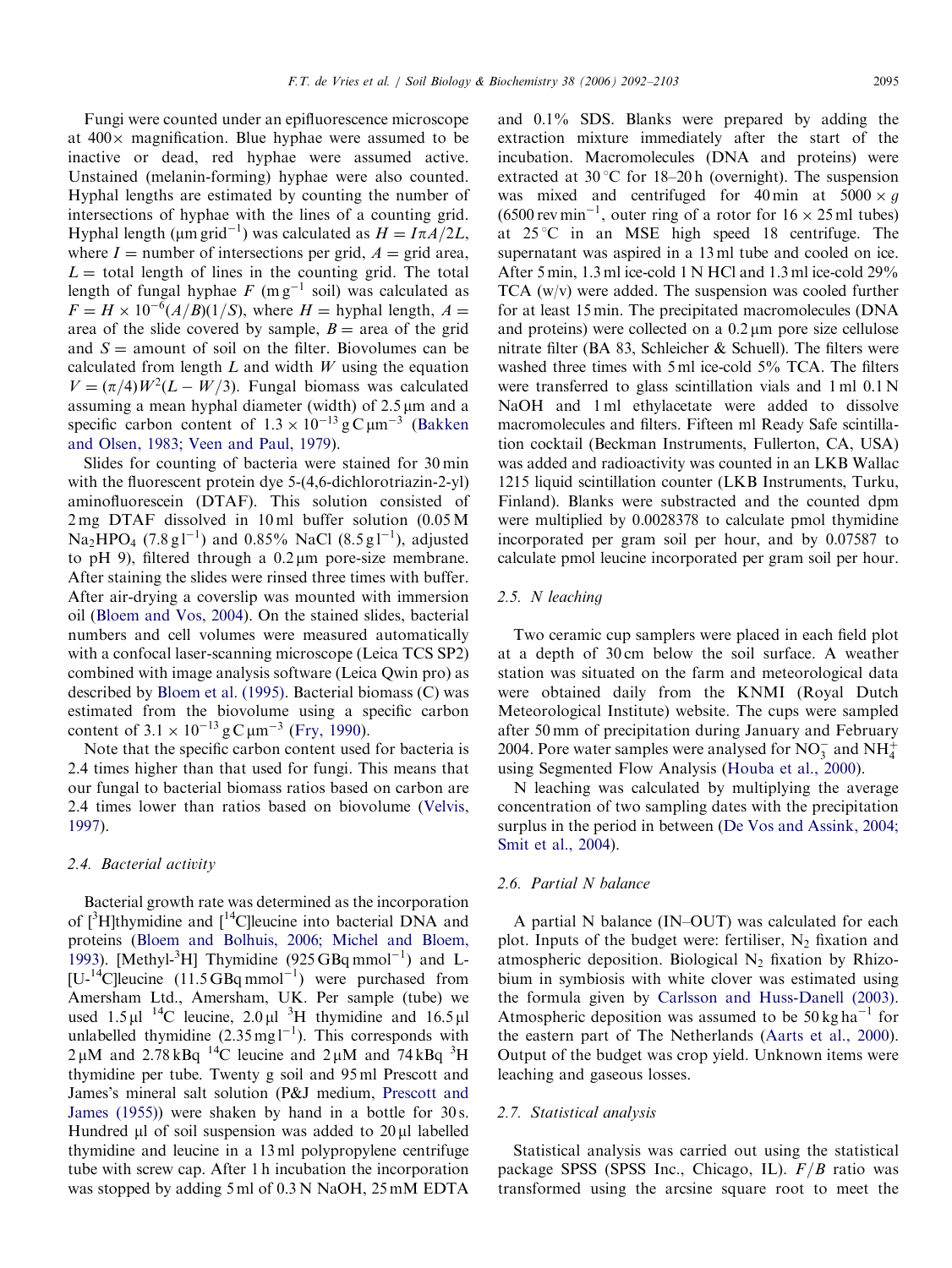Fungi were counted under an epifluorescence microscope at  $400 \times$  magnification. Blue hyphae were assumed to be inactive or dead, red hyphae were assumed active. Unstained (melanin-forming) hyphae were also counted. Hyphal lengths are estimated by counting the number of intersections of hyphae with the lines of a counting grid. Hyphal length ( $\mu$ m grid<sup>-1</sup>) was calculated as  $H = I \pi A/2L$ , where  $I =$  number of intersections per grid,  $A =$  grid area,  $L =$  total length of lines in the counting grid. The total length of fungal hyphae  $F$  (m g<sup>-1</sup> soil) was calculated as  $F = H \times 10^{-6} (A/B)(1/S)$ , where  $H =$  hyphal length,  $A =$ area of the slide covered by sample,  $B = \text{area of the grid}$ and  $S =$  amount of soil on the filter. Biovolumes can be calculated from length  $L$  and width  $W$  using the equation  $V = (\pi/4)W^2(L - W/3)$ . Fungal biomass was calculated assuming a mean hyphal diameter (width) of  $2.5 \mu m$  and a specific carbon content of  $1.3 \times 10^{-13}$  g C  $\mu$ m<sup>-3</sup> [\(Bakken](#page-9-0) [and Olsen, 1983; Veen and Paul, 1979](#page-9-0)).

Slides for counting of bacteria were stained for 30 min with the fluorescent protein dye 5-(4,6-dichlorotriazin-2-yl) aminofluorescein (DTAF). This solution consisted of 2 mg DTAF dissolved in 10 ml buffer solution (0.05 M  $Na<sub>2</sub>HPO<sub>4</sub>$  (7.8 g1<sup>-1</sup>) and 0.85% NaCl (8.5 g1<sup>-1</sup>), adjusted to pH 9), filtered through a  $0.2 \mu m$  pore-size membrane. After staining the slides were rinsed three times with buffer. After air-drying a coverslip was mounted with immersion oil ([Bloem and Vos, 2004](#page-9-0)). On the stained slides, bacterial numbers and cell volumes were measured automatically with a confocal laser-scanning microscope (Leica TCS SP2) combined with image analysis software (Leica Qwin pro) as described by [Bloem et al. \(1995\)](#page-9-0). Bacterial biomass (C) was estimated from the biovolume using a specific carbon content of  $3.1 \times 10^{-13}$  g C  $\mu$ m<sup>-3</sup> [\(Fry, 1990\)](#page-10-0).

Note that the specific carbon content used for bacteria is 2.4 times higher than that used for fungi. This means that our fungal to bacterial biomass ratios based on carbon are 2.4 times lower than ratios based on biovolume [\(Velvis,](#page-10-0) [1997](#page-10-0)).

## 2.4. Bacterial activity

Bacterial growth rate was determined as the incorporation of  $[{}^3H]$ thymidine and  $[{}^{14}C]$ leucine into bacterial DNA and proteins [\(Bloem and Bolhuis, 2006; Michel and Bloem,](#page-9-0) [1993](#page-9-0)). [Methyl- ${}^{3}$ H] Thymidine (925 GBq mmol<sup>-1</sup>) and L- $[U<sup>14</sup>C]$ leucine (11.5 GBq mmol<sup>-1</sup>) were purchased from Amersham Ltd., Amersham, UK. Per sample (tube) we used  $1.5 \mu$ l <sup>14</sup>C leucine,  $2.0 \mu$ l <sup>3</sup>H thymidine and  $16.5 \mu$ l unlabelled thymidine  $(2.35 \text{ mg l}^{-1})$ . This corresponds with  $2 \mu$ M and  $2.78 \text{ kB}$ q <sup>14</sup>C leucine and  $2 \mu$ M and  $74 \text{ kB}$ q <sup>3</sup>H thymidine per tube. Twenty g soil and 95 ml Prescott and James's mineral salt solution (P&J medium, [Prescott and](#page-10-0) [James \(1955\)\)](#page-10-0) were shaken by hand in a bottle for 30 s. Hundred  $\mu$ l of soil suspension was added to 20 $\mu$ l labelled thymidine and leucine in a 13 ml polypropylene centrifuge tube with screw cap. After 1 h incubation the incorporation was stopped by adding 5 ml of 0.3 N NaOH, 25 mM EDTA and 0.1% SDS. Blanks were prepared by adding the extraction mixture immediately after the start of the incubation. Macromolecules (DNA and proteins) were extracted at  $30^{\circ}$ C for 18–20 h (overnight). The suspension was mixed and centrifuged for 40 min at  $5000 \times g$  $(6500 \,\text{rev}\,\text{min}^{-1}$ , outer ring of a rotor for  $16 \times 25 \,\text{ml}$  tubes) at  $25^{\circ}$ C in an MSE high speed 18 centrifuge. The supernatant was aspired in a 13 ml tube and cooled on ice. After 5 min, 1.3 ml ice-cold 1 N HCl and 1.3 ml ice-cold 29% TCA (w/v) were added. The suspension was cooled further for at least 15 min. The precipitated macromolecules (DNA and proteins) were collected on a 0.2 um pore size cellulose nitrate filter (BA 83, Schleicher & Schuell). The filters were washed three times with 5 ml ice-cold 5% TCA. The filters were transferred to glass scintillation vials and 1 ml  $0.1$  N NaOH and 1 ml ethylacetate were added to dissolve macromolecules and filters. Fifteen ml Ready Safe scintillation cocktail (Beckman Instruments, Fullerton, CA, USA) was added and radioactivity was counted in an LKB Wallac 1215 liquid scintillation counter (LKB Instruments, Turku, Finland). Blanks were substracted and the counted dpm were multiplied by 0.0028378 to calculate pmol thymidine incorporated per gram soil per hour, and by 0.07587 to calculate pmol leucine incorporated per gram soil per hour.

## 2.5. N leaching

Two ceramic cup samplers were placed in each field plot at a depth of 30 cm below the soil surface. A weather station was situated on the farm and meteorological data were obtained daily from the KNMI (Royal Dutch Meteorological Institute) website. The cups were sampled after 50 mm of precipitation during January and February 2004. Pore water samples were analysed for  $NO_3^-$  and  $NH_4^+$ using Segmented Flow Analysis [\(Houba et al., 2000\)](#page-10-0).

N leaching was calculated by multiplying the average concentration of two sampling dates with the precipitation surplus in the period in between ([De Vos and Assink, 2004;](#page-9-0) [Smit et al., 2004\)](#page-9-0).

## 2.6. Partial N balance

A partial N balance (IN–OUT) was calculated for each plot. Inputs of the budget were: fertiliser,  $N_2$  fixation and atmospheric deposition. Biological  $N_2$  fixation by Rhizobium in symbiosis with white clover was estimated using the formula given by [Carlsson and Huss-Danell \(2003\).](#page-9-0) Atmospheric deposition was assumed to be  $50 \text{ kg ha}^{-1}$  for the eastern part of The Netherlands [\(Aarts et al., 2000\)](#page-9-0). Output of the budget was crop yield. Unknown items were leaching and gaseous losses.

# 2.7. Statistical analysis

Statistical analysis was carried out using the statistical package SPSS (SPSS Inc., Chicago, IL).  $F/B$  ratio was transformed using the arcsine square root to meet the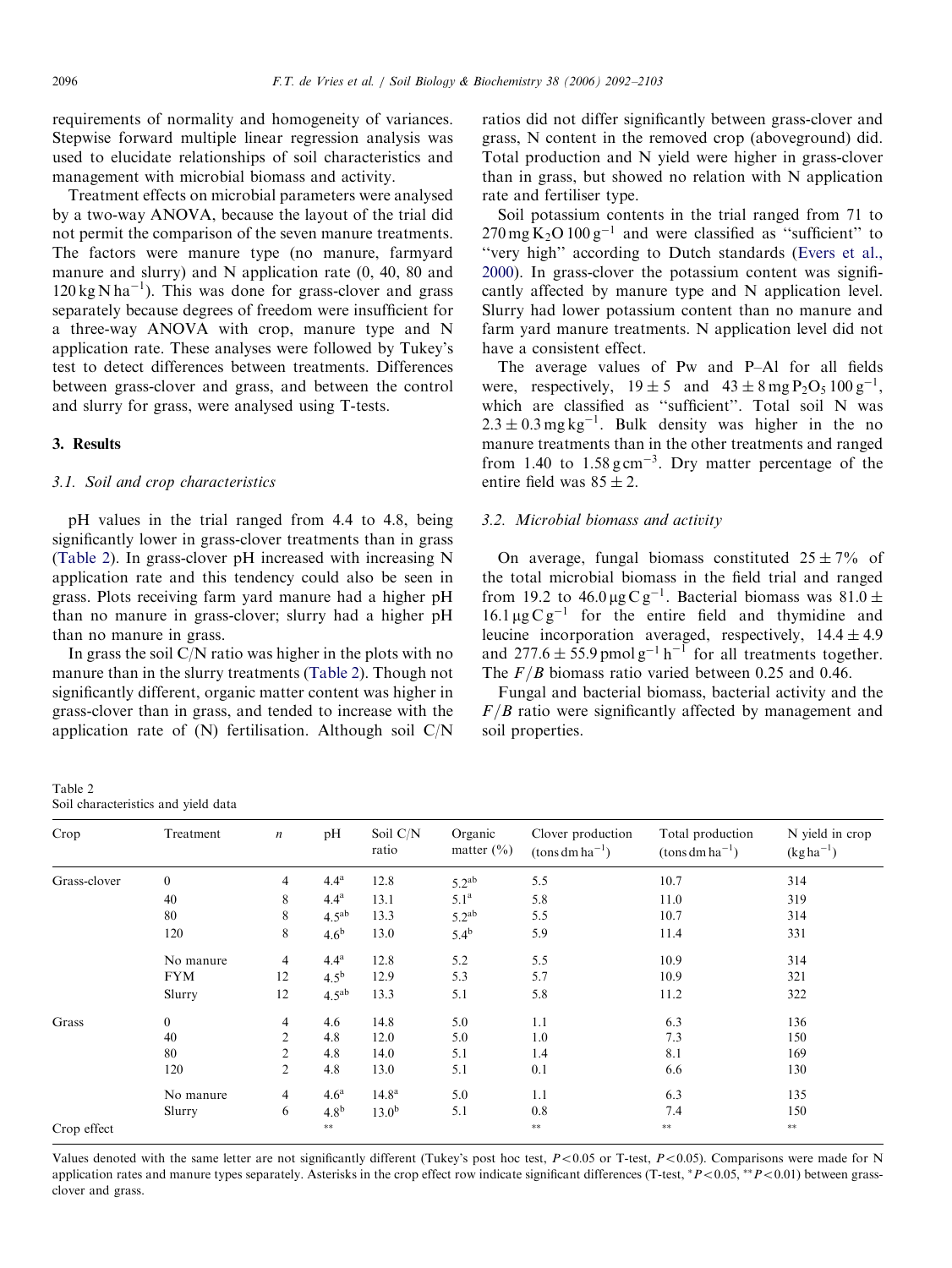requirements of normality and homogeneity of variances. Stepwise forward multiple linear regression analysis was used to elucidate relationships of soil characteristics and management with microbial biomass and activity.

Treatment effects on microbial parameters were analysed by a two-way ANOVA, because the layout of the trial did not permit the comparison of the seven manure treatments. The factors were manure type (no manure, farmyard manure and slurry) and N application rate (0, 40, 80 and  $120 \text{ kg} \text{N} \text{ha}^{-1}$ ). This was done for grass-clover and grass separately because degrees of freedom were insufficient for a three-way ANOVA with crop, manure type and N application rate. These analyses were followed by Tukey's test to detect differences between treatments. Differences between grass-clover and grass, and between the control and slurry for grass, were analysed using T-tests.

### 3. Results

### 3.1. Soil and crop characteristics

pH values in the trial ranged from 4.4 to 4.8, being significantly lower in grass-clover treatments than in grass (Table 2). In grass-clover pH increased with increasing N application rate and this tendency could also be seen in grass. Plots receiving farm yard manure had a higher pH than no manure in grass-clover; slurry had a higher pH than no manure in grass.

In grass the soil  $C/N$  ratio was higher in the plots with no manure than in the slurry treatments (Table 2). Though not significantly different, organic matter content was higher in grass-clover than in grass, and tended to increase with the application rate of (N) fertilisation. Although soil C/N

| Table 2                             |  |  |
|-------------------------------------|--|--|
| Soil characteristics and yield data |  |  |

ratios did not differ significantly between grass-clover and grass, N content in the removed crop (aboveground) did. Total production and N yield were higher in grass-clover than in grass, but showed no relation with N application rate and fertiliser type.

Soil potassium contents in the trial ranged from 71 to  $270 \,\text{mg}\,\text{K}_2\text{O} 100 \,\text{g}^{-1}$  and were classified as "sufficient" to "very high" according to Dutch standards [\(Evers et al.,](#page-10-0) [2000\)](#page-10-0). In grass-clover the potassium content was significantly affected by manure type and N application level. Slurry had lower potassium content than no manure and farm yard manure treatments. N application level did not have a consistent effect.

The average values of Pw and P–Al for all fields were, respectively,  $19 \pm 5$  and  $43 \pm 8$  mg  $P_2O_5 100 g^{-1}$ , which are classified as "sufficient". Total soil N was  $2.3 \pm 0.3$  mg kg<sup>-1</sup>. Bulk density was higher in the no manure treatments than in the other treatments and ranged from 1.40 to  $1.58 \text{ g cm}^{-3}$ . Dry matter percentage of the entire field was  $85 \pm 2$ .

# 3.2. Microbial biomass and activity

On average, fungal biomass constituted  $25 \pm 7\%$  of the total microbial biomass in the field trial and ranged from 19.2 to  $46.0 \,\mu g \,\text{C} \,\text{g}^{-1}$ . Bacterial biomass was  $81.0 \pm$  $16.1 \,\mu g \,C \,g^{-1}$  for the entire field and thymidine and leucine incorporation averaged, respectively,  $14.4 \pm 4.9$ and  $277.6 \pm 55.9$  pmol g<sup>-1</sup> h<sup>-1</sup> for all treatments together. The  $F/B$  biomass ratio varied between 0.25 and 0.46.

Fungal and bacterial biomass, bacterial activity and the  $F/B$  ratio were significantly affected by management and soil properties.

| Crop         | Treatment        | $\boldsymbol{n}$ | pH               | Soil C/N<br>ratio | Organic<br>matter $(\% )$ | Clover production<br>$(\text{tons dm ha}^{-1})$ | Total production<br>$(\text{tons dm ha}^{-1})$ | N yield in crop<br>$(kg ha^{-1})$ |
|--------------|------------------|------------------|------------------|-------------------|---------------------------|-------------------------------------------------|------------------------------------------------|-----------------------------------|
| Grass-clover | $\boldsymbol{0}$ | $\overline{4}$   | 4.4 <sup>a</sup> | 12.8              | $5.2^{ab}$                | 5.5                                             | 10.7                                           | 314                               |
|              | 40               | 8                | 4.4 <sup>a</sup> | 13.1              | 5.1 <sup>a</sup>          | 5.8                                             | 11.0                                           | 319                               |
|              | 80               | 8                | $4.5^{ab}$       | 13.3              | $5.2^{ab}$                | 5.5                                             | 10.7                                           | 314                               |
|              | 120              | 8                | 4.6 <sup>b</sup> | 13.0              | 5.4 <sup>b</sup>          | 5.9                                             | 11.4                                           | 331                               |
|              | No manure        | $\overline{4}$   | 4.4 <sup>a</sup> | 12.8              | 5.2                       | 5.5                                             | 10.9                                           | 314                               |
|              | <b>FYM</b>       | 12               | $4.5^{b}$        | 12.9              | 5.3                       | 5.7                                             | 10.9                                           | 321                               |
|              | Slurry           | 12               | $4.5^{ab}$       | 13.3              | 5.1                       | 5.8                                             | 11.2                                           | 322                               |
| Grass        | $\boldsymbol{0}$ | 4                | 4.6              | 14.8              | 5.0                       | 1.1                                             | 6.3                                            | 136                               |
|              | 40               | $\overline{2}$   | 4.8              | 12.0              | 5.0                       | 1.0                                             | 7.3                                            | 150                               |
|              | 80               | $\overline{2}$   | 4.8              | 14.0              | 5.1                       | 1.4                                             | 8.1                                            | 169                               |
|              | 120              | $\overline{2}$   | 4.8              | 13.0              | 5.1                       | 0.1                                             | 6.6                                            | 130                               |
|              | No manure        | 4                | 4.6 <sup>a</sup> | 14.8 <sup>a</sup> | 5.0                       | 1.1                                             | 6.3                                            | 135                               |
|              | Slurry           | 6                | 4.8 <sup>b</sup> | 13.0 <sup>b</sup> | 5.1                       | 0.8                                             | 7.4                                            | 150                               |
| Crop effect  |                  |                  | $**$             |                   |                           | $***$                                           | $***$                                          | $***$                             |

Values denoted with the same letter are not significantly different (Tukey's post hoc test,  $P<0.05$  or T-test,  $P<0.05$ ). Comparisons were made for N application rates and manure types separately. Asterisks in the crop effect row indicate significant differences (T-test,  $*P<0.05$ ,  $*P<0.01$ ) between grassclover and grass.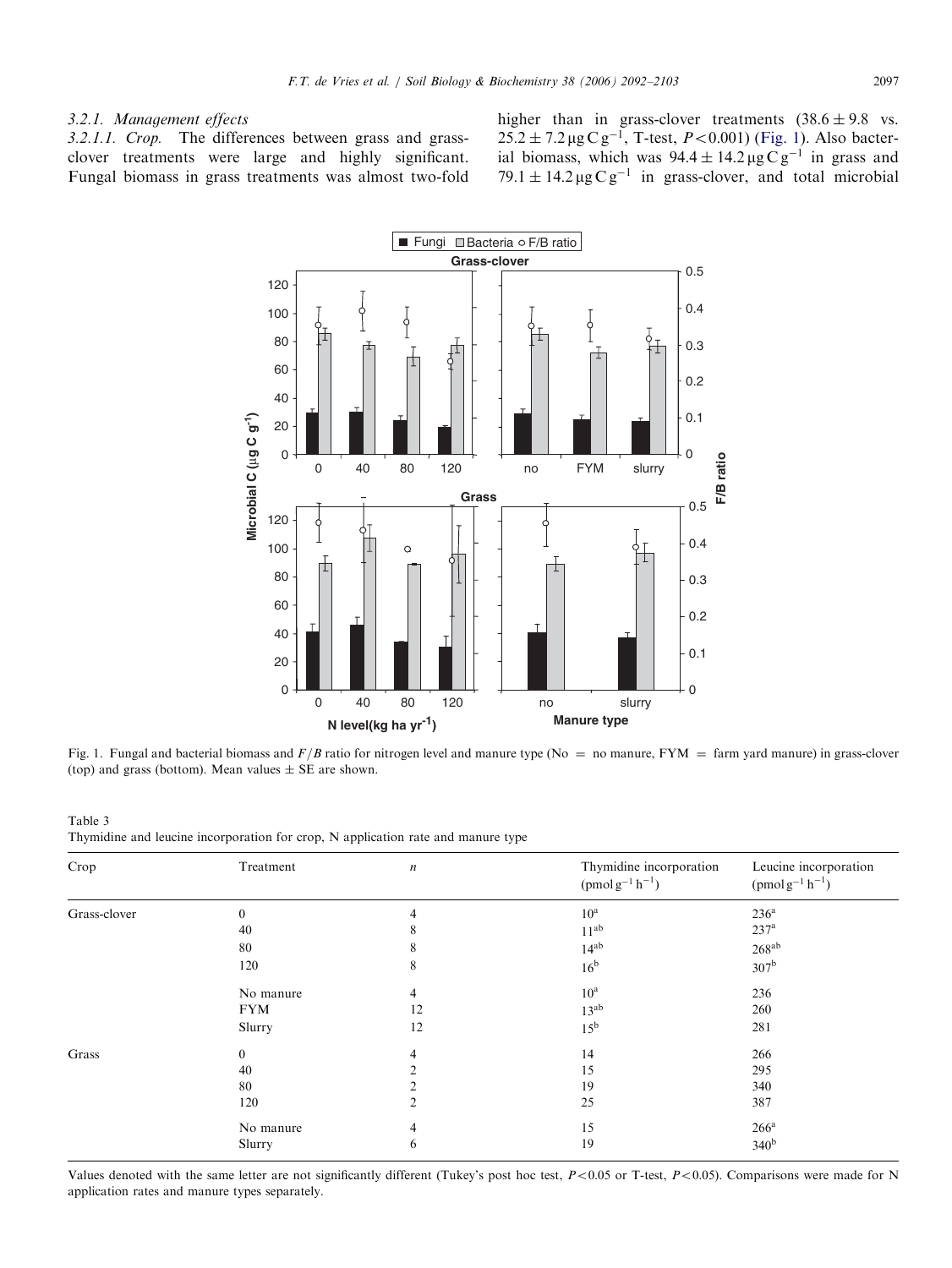# <span id="page-5-0"></span>3.2.1. Management effects

3.2.1.1. Crop. The differences between grass and grassclover treatments were large and highly significant. Fungal biomass in grass treatments was almost two-fold higher than in grass-clover treatments  $(38.6 \pm 9.8 \text{ vs.})$  $25.2 \pm 7.2 \,\mu$ g C g<sup>-1</sup>, T-test, *P*<0.001) (Fig. 1). Also bacterial biomass, which was  $94.4 \pm 14.2 \,\mu g \,\mathrm{C} \,\mathrm{g}^{-1}$  in grass and 79.1  $\pm$  14.2 µg C g<sup>-1</sup> in grass-clover, and total microbial



Fig. 1. Fungal and bacterial biomass and  $F/B$  ratio for nitrogen level and manure type (No = no manure, FYM = farm yard manure) in grass-clover (top) and grass (bottom). Mean values  $\pm$  SE are shown.

Table 3 Thymidine and leucine incorporation for crop, N application rate and manure type

| Crop         | Treatment      | n  | Thymidine incorporation<br>$(pmol g^{-1} h^{-1})$ | Leucine incorporation<br>$(pmol g^{-1} h^{-1})$ |
|--------------|----------------|----|---------------------------------------------------|-------------------------------------------------|
| Grass-clover | $\theta$       | 4  | $10^a$                                            | 236 <sup>a</sup>                                |
|              | 40             | 8  | $11^{ab}$                                         | 237 <sup>a</sup>                                |
|              | 80             | 8  | $14^{ab}$                                         | $268^{ab}$                                      |
|              | 120            | 8  | 16 <sup>b</sup>                                   | 307 <sup>b</sup>                                |
|              | No manure      | 4  | $10^{\rm a}$                                      | 236                                             |
|              | <b>FYM</b>     | 12 | $13^{ab}$                                         | 260                                             |
|              | Slurry         | 12 | $15^{\rm b}$                                      | 281                                             |
| Grass        | $\overline{0}$ | 4  | 14                                                | 266                                             |
|              | 40             | ◠  | 15                                                | 295                                             |
|              | 80             |    | 19                                                | 340                                             |
|              | 120            | 2  | 25                                                | 387                                             |
|              | No manure      | 4  | 15                                                | $266^a$                                         |
|              | Slurry         | 6  | 19                                                | 340 <sup>b</sup>                                |

Values denoted with the same letter are not significantly different (Tukey's post hoc test,  $P < 0.05$  or T-test,  $P < 0.05$ ). Comparisons were made for N application rates and manure types separately.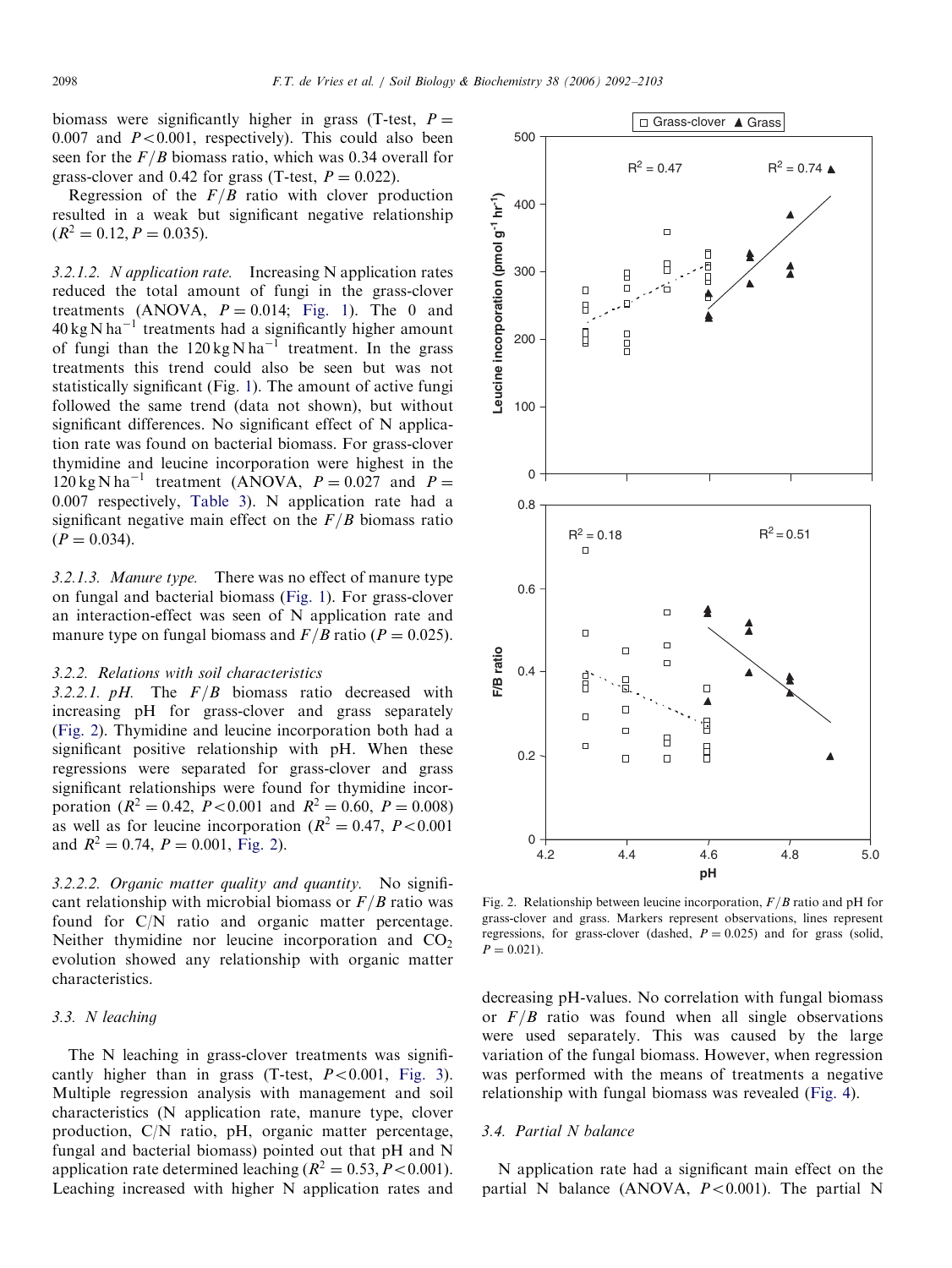<span id="page-6-0"></span>biomass were significantly higher in grass (T-test,  $P =$ 0.007 and  $P < 0.001$ , respectively). This could also been seen for the  $F/B$  biomass ratio, which was 0.34 overall for grass-clover and 0.42 for grass (T-test,  $P = 0.022$ ).

Regression of the  $F/B$  ratio with clover production resulted in a weak but significant negative relationship  $(R^2 = 0.12, P = 0.035).$ 

3.2.1.2. N application rate. Increasing N application rates reduced the total amount of fungi in the grass-clover treatments (ANOVA,  $P = 0.014$ ; [Fig. 1](#page-5-0)). The 0 and  $40 \text{ kg N} \text{ ha}^{-1}$  treatments had a significantly higher amount of fungi than the  $120 \text{ kg} \text{ N} \text{ ha}^{-1}$  treatment. In the grass treatments this trend could also be seen but was not statistically significant (Fig. [1](#page-5-0)). The amount of active fungi followed the same trend (data not shown), but without significant differences. No significant effect of N application rate was found on bacterial biomass. For grass-clover thymidine and leucine incorporation were highest in the  $120 \text{ kg N} \text{ ha}^{-1}$  treatment (ANOVA,  $P = 0.027$  and  $P =$ 0:007 respectively, [Table 3](#page-5-0)). N application rate had a significant negative main effect on the  $F/B$  biomass ratio  $(P = 0.034)$ .

3.2.1.3. Manure type. There was no effect of manure type on fungal and bacterial biomass ([Fig. 1](#page-5-0)). For grass-clover an interaction-effect was seen of N application rate and manure type on fungal biomass and  $F/B$  ratio ( $P = 0.025$ ).

# 3.2.2. Relations with soil characteristics

3.2.2.1. pH. The  $F/B$  biomass ratio decreased with increasing pH for grass-clover and grass separately (Fig. 2). Thymidine and leucine incorporation both had a significant positive relationship with pH. When these regressions were separated for grass-clover and grass significant relationships were found for thymidine incorporation ( $R^2 = 0.42$ ,  $P < 0.001$  and  $R^2 = 0.60$ ,  $P = 0.008$ ) as well as for leucine incorporation ( $R^2 = 0.47$ ,  $P < 0.001$ ) and  $R^2 = 0.74$ ,  $P = 0.001$ , Fig. 2).

3.2.2.2. Organic matter quality and quantity. No significant relationship with microbial biomass or  $F/B$  ratio was found for C/N ratio and organic matter percentage. Neither thymidine nor leucine incorporation and  $CO<sub>2</sub>$ evolution showed any relationship with organic matter characteristics.

### 3.3. N leaching

The N leaching in grass-clover treatments was significantly higher than in grass (T-test,  $P < 0.001$ , [Fig. 3\)](#page-7-0). Multiple regression analysis with management and soil characteristics (N application rate, manure type, clover production, C/N ratio, pH, organic matter percentage, fungal and bacterial biomass) pointed out that pH and N application rate determined leaching  $(R^2 = 0.53, P < 0.001)$ . Leaching increased with higher N application rates and



Fig. 2. Relationship between leucine incorporation,  $F/B$  ratio and pH for grass-clover and grass. Markers represent observations, lines represent regressions, for grass-clover (dashed,  $P = 0.025$ ) and for grass (solid,  $P = 0.021$ .

decreasing pH-values. No correlation with fungal biomass or  $F/B$  ratio was found when all single observations were used separately. This was caused by the large variation of the fungal biomass. However, when regression was performed with the means of treatments a negative relationship with fungal biomass was revealed ([Fig. 4](#page-8-0)).

## 3.4. Partial N balance

N application rate had a significant main effect on the partial N balance (ANOVA,  $P < 0.001$ ). The partial N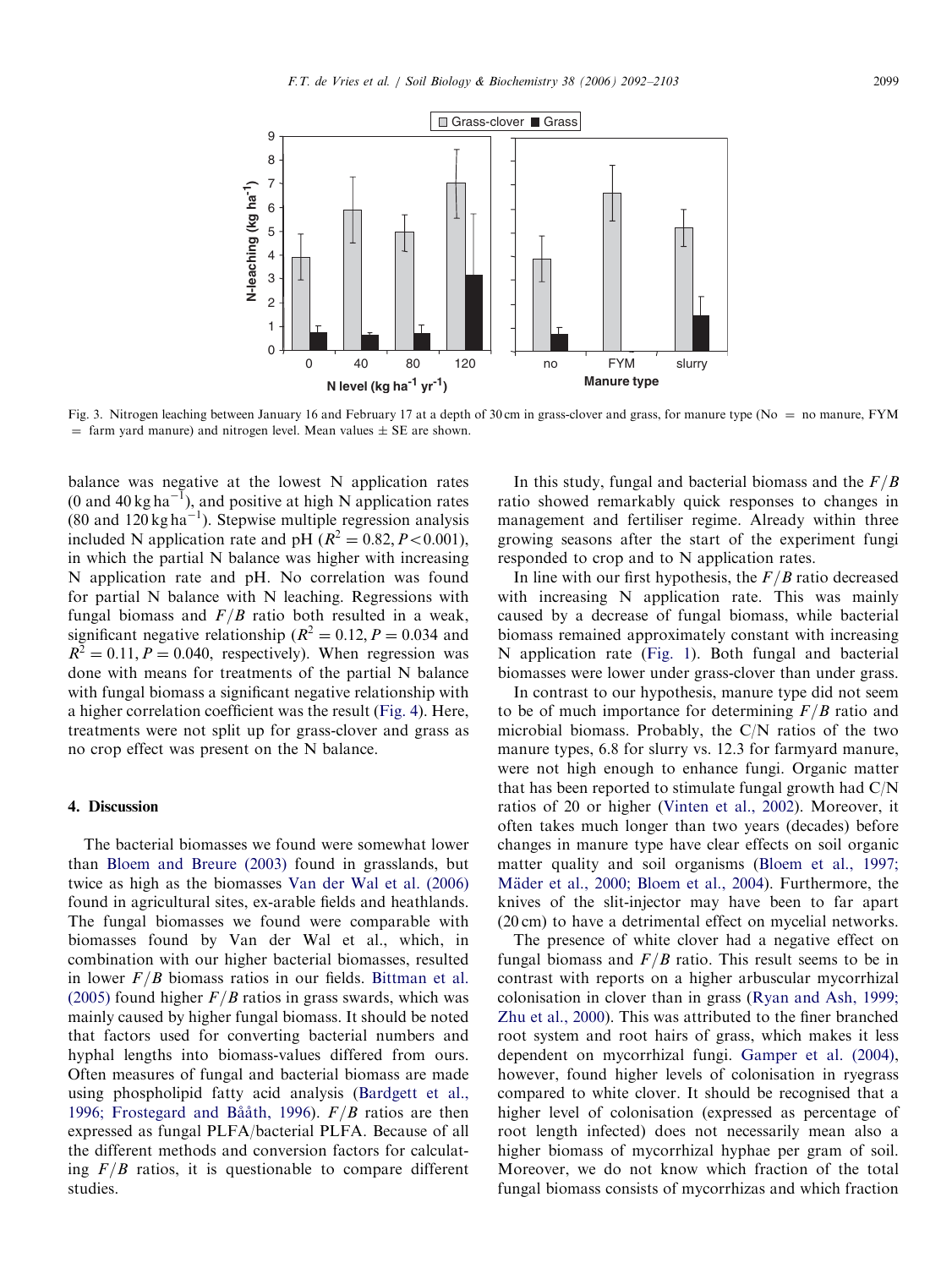<span id="page-7-0"></span>

Fig. 3. Nitrogen leaching between January 16 and February 17 at a depth of 30 cm in grass-clover and grass, for manure type (No = no manure, FYM  $=$  farm yard manure) and nitrogen level. Mean values  $\pm$  SE are shown.

balance was negative at the lowest N application rates (0 and 40 kg ha<sup>-1</sup>), and positive at high N application rates  $(80 \text{ and } 120 \text{ kg ha}^{-1})$ . Stepwise multiple regression analysis included N application rate and pH  $(R^2 = 0.82, P < 0.001)$ , in which the partial N balance was higher with increasing N application rate and pH. No correlation was found for partial N balance with N leaching. Regressions with fungal biomass and  $F/B$  ratio both resulted in a weak, significant negative relationship ( $R^2 = 0.12, P = 0.034$  and  $R^2 = 0.11, P = 0.040$ , respectively). When regression was done with means for treatments of the partial N balance with fungal biomass a significant negative relationship with a higher correlation coefficient was the result [\(Fig. 4\)](#page-8-0). Here, treatments were not split up for grass-clover and grass as no crop effect was present on the N balance.

## 4. Discussion

The bacterial biomasses we found were somewhat lower than [Bloem and Breure \(2003\)](#page-9-0) found in grasslands, but twice as high as the biomasses [Van der Wal et al. \(2006\)](#page-10-0) found in agricultural sites, ex-arable fields and heathlands. The fungal biomasses we found were comparable with biomasses found by Van der Wal et al., which, in combination with our higher bacterial biomasses, resulted in lower  $F/B$  biomass ratios in our fields. [Bittman et al.](#page-9-0) [\(2005\)](#page-9-0) found higher  $F/B$  ratios in grass swards, which was mainly caused by higher fungal biomass. It should be noted that factors used for converting bacterial numbers and hyphal lengths into biomass-values differed from ours. Often measures of fungal and bacterial biomass are made using phospholipid fatty acid analysis [\(Bardgett et al.,](#page-9-0) 1996; Frostegard and Bååth, 1996).  $F/B$  ratios are then expressed as fungal PLFA/bacterial PLFA. Because of all the different methods and conversion factors for calculating  $F/B$  ratios, it is questionable to compare different studies.

In this study, fungal and bacterial biomass and the  $F/B$ ratio showed remarkably quick responses to changes in management and fertiliser regime. Already within three growing seasons after the start of the experiment fungi responded to crop and to N application rates.

In line with our first hypothesis, the  $F/B$  ratio decreased with increasing N application rate. This was mainly caused by a decrease of fungal biomass, while bacterial biomass remained approximately constant with increasing N application rate ([Fig. 1\)](#page-5-0). Both fungal and bacterial biomasses were lower under grass-clover than under grass.

In contrast to our hypothesis, manure type did not seem to be of much importance for determining  $F/B$  ratio and microbial biomass. Probably, the C/N ratios of the two manure types, 6.8 for slurry vs. 12.3 for farmyard manure, were not high enough to enhance fungi. Organic matter that has been reported to stimulate fungal growth had C/N ratios of 20 or higher [\(Vinten et al., 2002](#page-10-0)). Moreover, it often takes much longer than two years (decades) before changes in manure type have clear effects on soil organic matter quality and soil organisms ([Bloem et al., 1997;](#page-9-0) Mäder et al., 2000; Bloem et al., 2004). Furthermore, the knives of the slit-injector may have been to far apart (20 cm) to have a detrimental effect on mycelial networks.

The presence of white clover had a negative effect on fungal biomass and  $F/B$  ratio. This result seems to be in contrast with reports on a higher arbuscular mycorrhizal colonisation in clover than in grass ([Ryan and Ash, 1999;](#page-10-0) [Zhu et al., 2000\)](#page-10-0). This was attributed to the finer branched root system and root hairs of grass, which makes it less dependent on mycorrhizal fungi. [Gamper et al. \(2004\),](#page-10-0) however, found higher levels of colonisation in ryegrass compared to white clover. It should be recognised that a higher level of colonisation (expressed as percentage of root length infected) does not necessarily mean also a higher biomass of mycorrhizal hyphae per gram of soil. Moreover, we do not know which fraction of the total fungal biomass consists of mycorrhizas and which fraction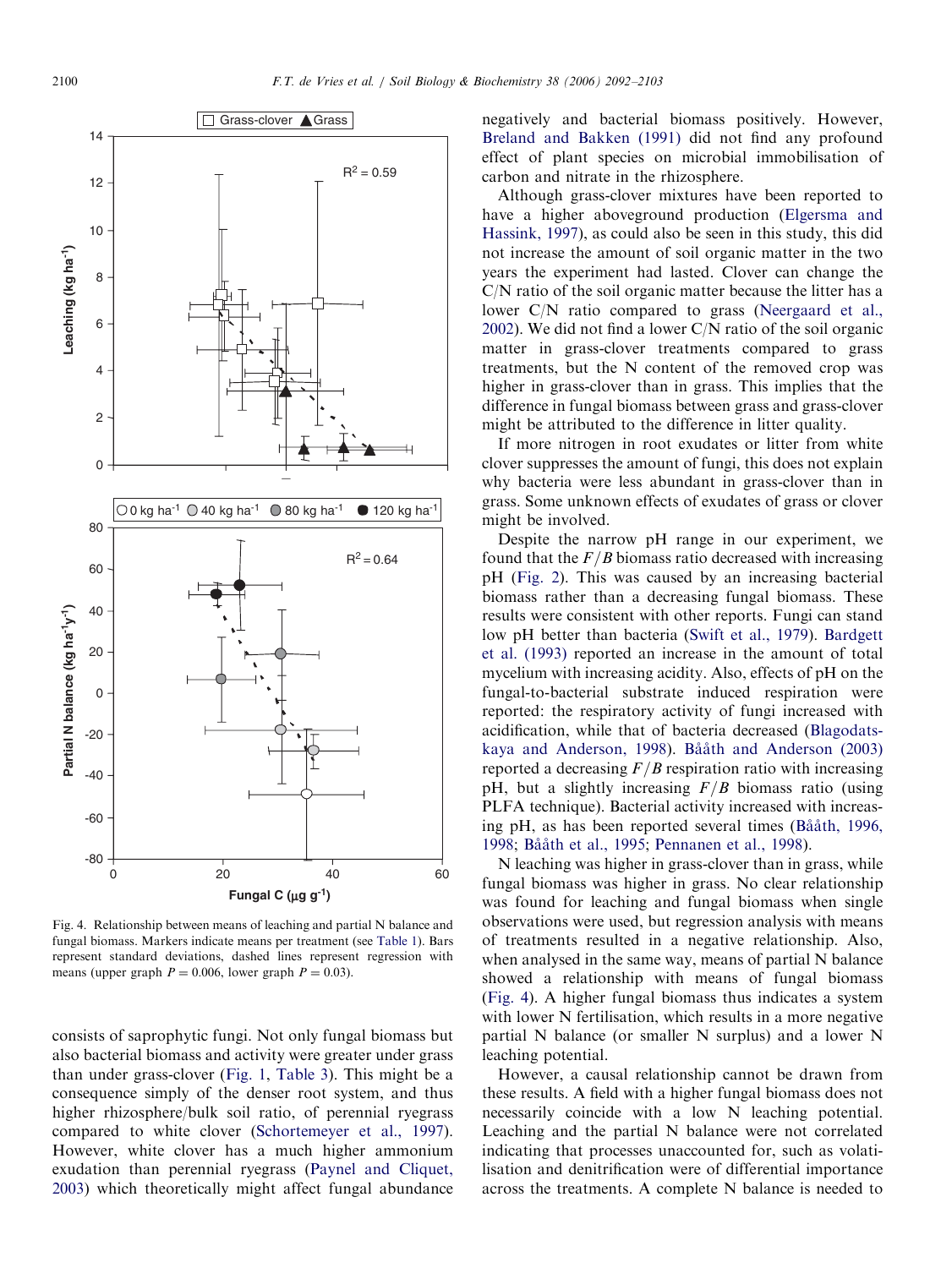<span id="page-8-0"></span>

Fig. 4. Relationship between means of leaching and partial N balance and fungal biomass. Markers indicate means per treatment (see [Table 1](#page-2-0)). Bars represent standard deviations, dashed lines represent regression with means (upper graph  $P = 0.006$ , lower graph  $P = 0.03$ ).

consists of saprophytic fungi. Not only fungal biomass but also bacterial biomass and activity were greater under grass than under grass-clover [\(Fig. 1,](#page-5-0) [Table 3\)](#page-5-0). This might be a consequence simply of the denser root system, and thus higher rhizosphere/bulk soil ratio, of perennial ryegrass compared to white clover [\(Schortemeyer et al., 1997\)](#page-10-0). However, white clover has a much higher ammonium exudation than perennial ryegrass [\(Paynel and Cliquet,](#page-10-0) [2003\)](#page-10-0) which theoretically might affect fungal abundance

negatively and bacterial biomass positively. However, [Breland and Bakken \(1991\)](#page-9-0) did not find any profound effect of plant species on microbial immobilisation of carbon and nitrate in the rhizosphere.

Although grass-clover mixtures have been reported to have a higher aboveground production ([Elgersma and](#page-10-0) [Hassink, 1997\)](#page-10-0), as could also be seen in this study, this did not increase the amount of soil organic matter in the two years the experiment had lasted. Clover can change the C/N ratio of the soil organic matter because the litter has a lower C/N ratio compared to grass [\(Neergaard et al.,](#page-10-0) [2002\)](#page-10-0). We did not find a lower C/N ratio of the soil organic matter in grass-clover treatments compared to grass treatments, but the N content of the removed crop was higher in grass-clover than in grass. This implies that the difference in fungal biomass between grass and grass-clover might be attributed to the difference in litter quality.

If more nitrogen in root exudates or litter from white clover suppresses the amount of fungi, this does not explain why bacteria were less abundant in grass-clover than in grass. Some unknown effects of exudates of grass or clover might be involved.

Despite the narrow pH range in our experiment, we found that the  $F/B$  biomass ratio decreased with increasing pH [\(Fig. 2](#page-6-0)). This was caused by an increasing bacterial biomass rather than a decreasing fungal biomass. These results were consistent with other reports. Fungi can stand low pH better than bacteria ([Swift et al., 1979\)](#page-10-0). [Bardgett](#page-9-0) [et al. \(1993\)](#page-9-0) reported an increase in the amount of total mycelium with increasing acidity. Also, effects of pH on the fungal-to-bacterial substrate induced respiration were reported: the respiratory activity of fungi increased with acidification, while that of bacteria decreased ([Blagodats](#page-9-0)[kaya and Anderson, 1998](#page-9-0)). Bååth and Anderson (2003) reported a decreasing  $F/B$  respiration ratio with increasing pH, but a slightly increasing  $F/B$  biomass ratio (using PLFA technique). Bacterial activity increased with increasing pH, as has been reported several times (Bååth, 1996, [1998;](#page-9-0) Bååth et al., 1995; [Pennanen et al., 1998](#page-10-0)).

N leaching was higher in grass-clover than in grass, while fungal biomass was higher in grass. No clear relationship was found for leaching and fungal biomass when single observations were used, but regression analysis with means of treatments resulted in a negative relationship. Also, when analysed in the same way, means of partial N balance showed a relationship with means of fungal biomass (Fig. 4). A higher fungal biomass thus indicates a system with lower N fertilisation, which results in a more negative partial N balance (or smaller N surplus) and a lower N leaching potential.

However, a causal relationship cannot be drawn from these results. A field with a higher fungal biomass does not necessarily coincide with a low N leaching potential. Leaching and the partial N balance were not correlated indicating that processes unaccounted for, such as volatilisation and denitrification were of differential importance across the treatments. A complete N balance is needed to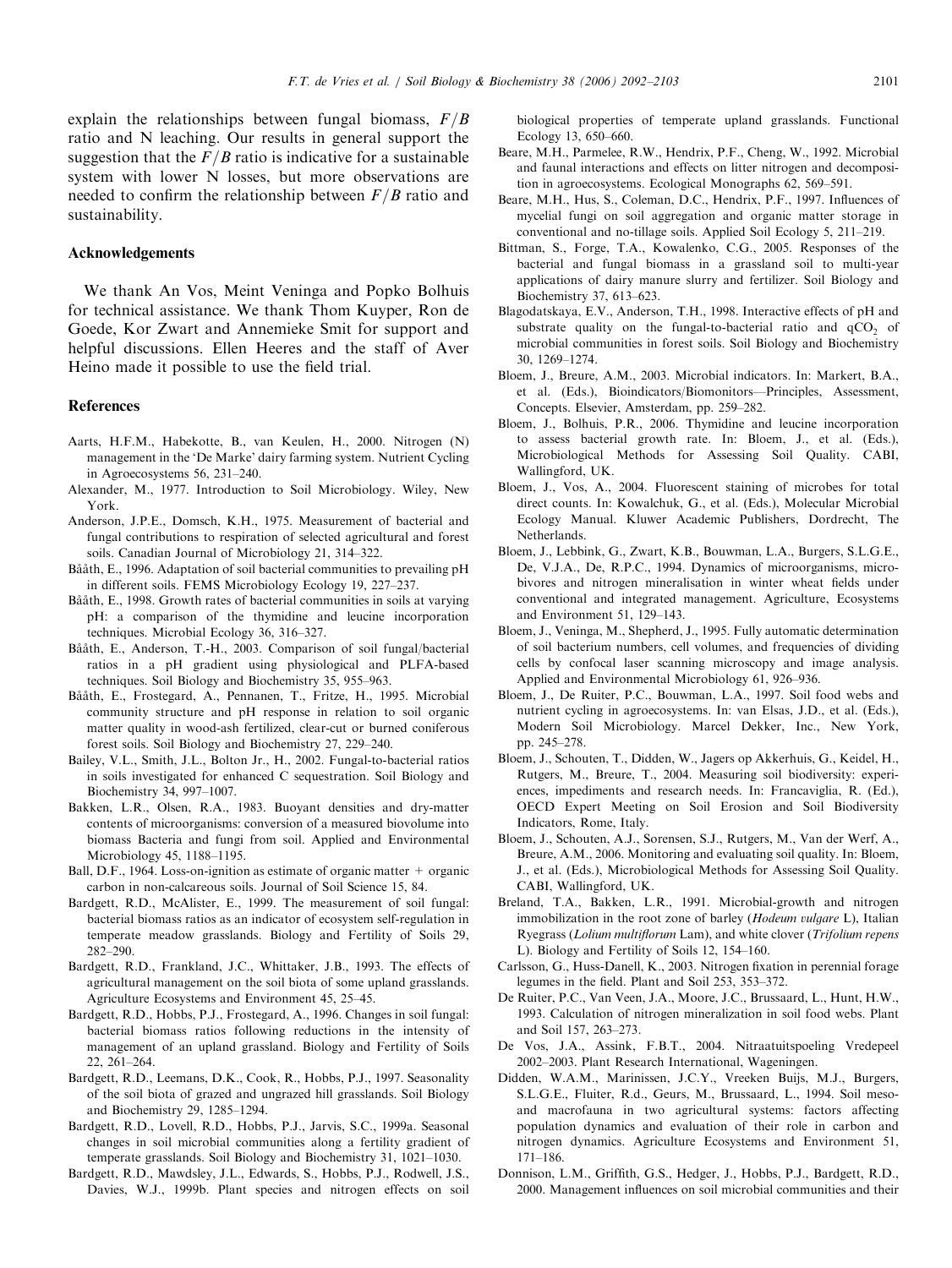<span id="page-9-0"></span>explain the relationships between fungal biomass,  $F/B$ ratio and N leaching. Our results in general support the suggestion that the  $F/B$  ratio is indicative for a sustainable system with lower N losses, but more observations are needed to confirm the relationship between  $F/B$  ratio and sustainability.

## Acknowledgements

We thank An Vos, Meint Veninga and Popko Bolhuis for technical assistance. We thank Thom Kuyper, Ron de Goede, Kor Zwart and Annemieke Smit for support and helpful discussions. Ellen Heeres and the staff of Aver Heino made it possible to use the field trial.

#### References

- Aarts, H.F.M., Habekotte, B., van Keulen, H., 2000. Nitrogen (N) management in the 'De Marke' dairy farming system. Nutrient Cycling in Agroecosystems 56, 231–240.
- Alexander, M., 1977. Introduction to Soil Microbiology. Wiley, New York.
- Anderson, J.P.E., Domsch, K.H., 1975. Measurement of bacterial and fungal contributions to respiration of selected agricultural and forest soils. Canadian Journal of Microbiology 21, 314–322.
- Bååth, E., 1996. Adaptation of soil bacterial communities to prevailing pH in different soils. FEMS Microbiology Ecology 19, 227–237.
- Bååth, E., 1998. Growth rates of bacterial communities in soils at varying pH: a comparison of the thymidine and leucine incorporation techniques. Microbial Ecology 36, 316–327.
- Bååth, E., Anderson, T.-H., 2003. Comparison of soil fungal/bacterial ratios in a pH gradient using physiological and PLFA-based techniques. Soil Biology and Biochemistry 35, 955–963.
- Bååth, E., Frostegard, A., Pennanen, T., Fritze, H., 1995. Microbial community structure and pH response in relation to soil organic matter quality in wood-ash fertilized, clear-cut or burned coniferous forest soils. Soil Biology and Biochemistry 27, 229–240.
- Bailey, V.L., Smith, J.L., Bolton Jr., H., 2002. Fungal-to-bacterial ratios in soils investigated for enhanced C sequestration. Soil Biology and Biochemistry 34, 997–1007.
- Bakken, L.R., Olsen, R.A., 1983. Buoyant densities and dry-matter contents of microorganisms: conversion of a measured biovolume into biomass Bacteria and fungi from soil. Applied and Environmental Microbiology 45, 1188–1195.
- Ball, D.F., 1964. Loss-on-ignition as estimate of organic matter  $+$  organic carbon in non-calcareous soils. Journal of Soil Science 15, 84.
- Bardgett, R.D., McAlister, E., 1999. The measurement of soil fungal: bacterial biomass ratios as an indicator of ecosystem self-regulation in temperate meadow grasslands. Biology and Fertility of Soils 29, 282–290.
- Bardgett, R.D., Frankland, J.C., Whittaker, J.B., 1993. The effects of agricultural management on the soil biota of some upland grasslands. Agriculture Ecosystems and Environment 45, 25–45.
- Bardgett, R.D., Hobbs, P.J., Frostegard, A., 1996. Changes in soil fungal: bacterial biomass ratios following reductions in the intensity of management of an upland grassland. Biology and Fertility of Soils 22, 261–264.
- Bardgett, R.D., Leemans, D.K., Cook, R., Hobbs, P.J., 1997. Seasonality of the soil biota of grazed and ungrazed hill grasslands. Soil Biology and Biochemistry 29, 1285–1294.
- Bardgett, R.D., Lovell, R.D., Hobbs, P.J., Jarvis, S.C., 1999a. Seasonal changes in soil microbial communities along a fertility gradient of temperate grasslands. Soil Biology and Biochemistry 31, 1021–1030.
- Bardgett, R.D., Mawdsley, J.L., Edwards, S., Hobbs, P.J., Rodwell, J.S., Davies, W.J., 1999b. Plant species and nitrogen effects on soil

biological properties of temperate upland grasslands. Functional Ecology 13, 650–660.

- Beare, M.H., Parmelee, R.W., Hendrix, P.F., Cheng, W., 1992. Microbial and faunal interactions and effects on litter nitrogen and decomposition in agroecosystems. Ecological Monographs 62, 569–591.
- Beare, M.H., Hus, S., Coleman, D.C., Hendrix, P.F., 1997. Influences of mycelial fungi on soil aggregation and organic matter storage in conventional and no-tillage soils. Applied Soil Ecology 5, 211–219.
- Bittman, S., Forge, T.A., Kowalenko, C.G., 2005. Responses of the bacterial and fungal biomass in a grassland soil to multi-year applications of dairy manure slurry and fertilizer. Soil Biology and Biochemistry 37, 613–623.
- Blagodatskaya, E.V., Anderson, T.H., 1998. Interactive effects of pH and substrate quality on the fungal-to-bacterial ratio and  $qCO<sub>2</sub>$  of microbial communities in forest soils. Soil Biology and Biochemistry 30, 1269–1274.
- Bloem, J., Breure, A.M., 2003. Microbial indicators. In: Markert, B.A., et al. (Eds.), Bioindicators/Biomonitors—Principles, Assessment, Concepts. Elsevier, Amsterdam, pp. 259–282.
- Bloem, J., Bolhuis, P.R., 2006. Thymidine and leucine incorporation to assess bacterial growth rate. In: Bloem, J., et al. (Eds.), Microbiological Methods for Assessing Soil Quality. CABI, Wallingford, UK.
- Bloem, J., Vos, A., 2004. Fluorescent staining of microbes for total direct counts. In: Kowalchuk, G., et al. (Eds.), Molecular Microbial Ecology Manual. Kluwer Academic Publishers, Dordrecht, The Netherlands.
- Bloem, J., Lebbink, G., Zwart, K.B., Bouwman, L.A., Burgers, S.L.G.E., De, V.J.A., De, R.P.C., 1994. Dynamics of microorganisms, microbivores and nitrogen mineralisation in winter wheat fields under conventional and integrated management. Agriculture, Ecosystems and Environment 51, 129–143.
- Bloem, J., Veninga, M., Shepherd, J., 1995. Fully automatic determination of soil bacterium numbers, cell volumes, and frequencies of dividing cells by confocal laser scanning microscopy and image analysis. Applied and Environmental Microbiology 61, 926–936.
- Bloem, J., De Ruiter, P.C., Bouwman, L.A., 1997. Soil food webs and nutrient cycling in agroecosystems. In: van Elsas, J.D., et al. (Eds.), Modern Soil Microbiology. Marcel Dekker, Inc., New York, pp. 245–278.
- Bloem, J., Schouten, T., Didden, W., Jagers op Akkerhuis, G., Keidel, H., Rutgers, M., Breure, T., 2004. Measuring soil biodiversity: experiences, impediments and research needs. In: Francaviglia, R. (Ed.), OECD Expert Meeting on Soil Erosion and Soil Biodiversity Indicators, Rome, Italy.
- Bloem, J., Schouten, A.J., Sorensen, S.J., Rutgers, M., Van der Werf, A., Breure, A.M., 2006. Monitoring and evaluating soil quality. In: Bloem, J., et al. (Eds.), Microbiological Methods for Assessing Soil Quality. CABI, Wallingford, UK.
- Breland, T.A., Bakken, L.R., 1991. Microbial-growth and nitrogen immobilization in the root zone of barley (Hodeum vulgare L), Italian Ryegrass (Lolium multiflorum Lam), and white clover (Trifolium repens L). Biology and Fertility of Soils 12, 154–160.
- Carlsson, G., Huss-Danell, K., 2003. Nitrogen fixation in perennial forage legumes in the field. Plant and Soil 253, 353–372.
- De Ruiter, P.C., Van Veen, J.A., Moore, J.C., Brussaard, L., Hunt, H.W., 1993. Calculation of nitrogen mineralization in soil food webs. Plant and Soil 157, 263–273.
- De Vos, J.A., Assink, F.B.T., 2004. Nitraatuitspoeling Vredepeel 2002–2003. Plant Research International, Wageningen.
- Didden, W.A.M., Marinissen, J.C.Y., Vreeken Buijs, M.J., Burgers, S.L.G.E., Fluiter, R.d., Geurs, M., Brussaard, L., 1994. Soil mesoand macrofauna in two agricultural systems: factors affecting population dynamics and evaluation of their role in carbon and nitrogen dynamics. Agriculture Ecosystems and Environment 51, 171–186.
- Donnison, L.M., Griffith, G.S., Hedger, J., Hobbs, P.J., Bardgett, R.D., 2000. Management influences on soil microbial communities and their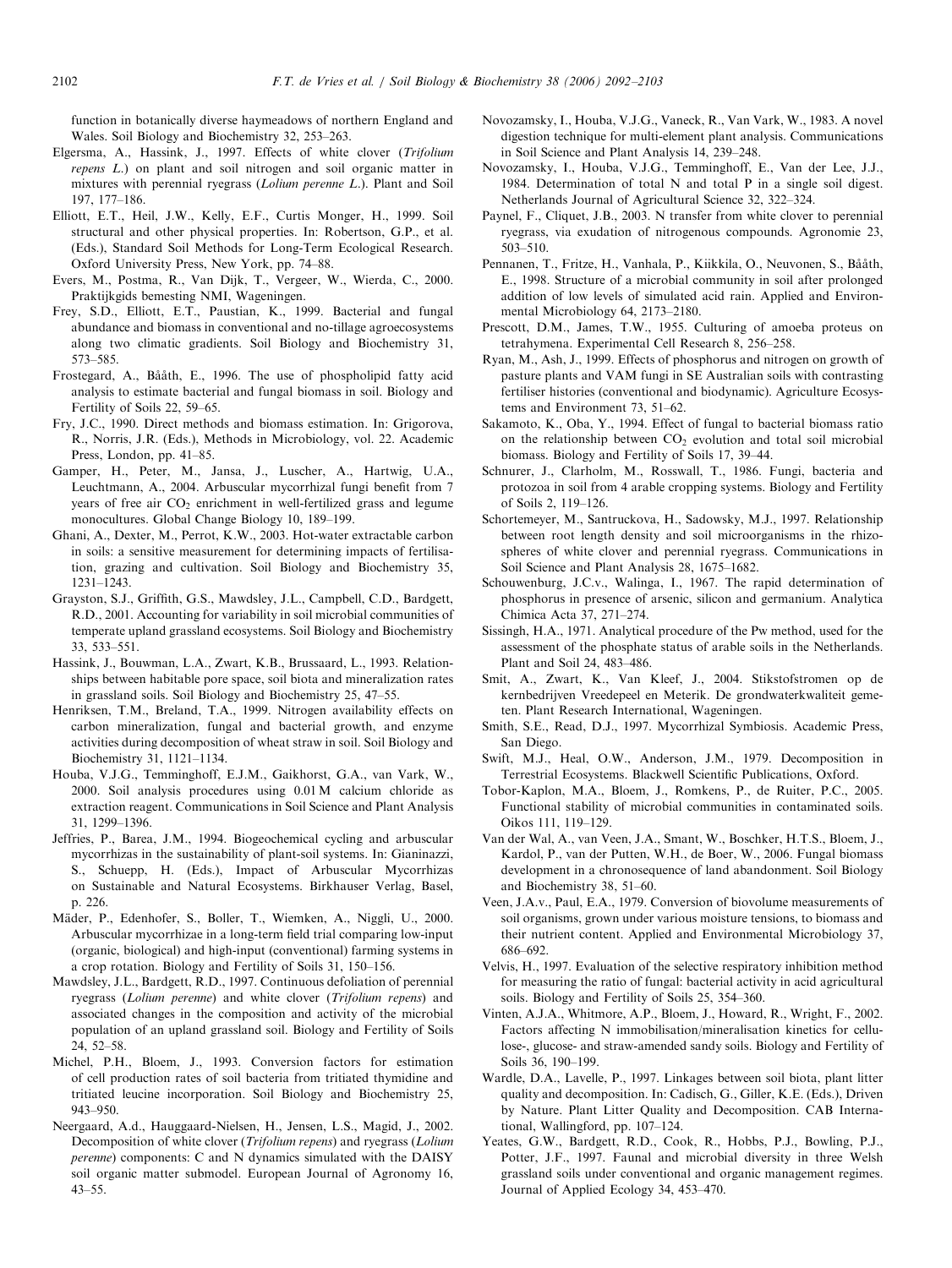<span id="page-10-0"></span>function in botanically diverse haymeadows of northern England and Wales. Soil Biology and Biochemistry 32, 253–263.

- Elgersma, A., Hassink, J., 1997. Effects of white clover (Trifolium repens L.) on plant and soil nitrogen and soil organic matter in mixtures with perennial ryegrass (Lolium perenne L.). Plant and Soil 197, 177–186.
- Elliott, E.T., Heil, J.W., Kelly, E.F., Curtis Monger, H., 1999. Soil structural and other physical properties. In: Robertson, G.P., et al. (Eds.), Standard Soil Methods for Long-Term Ecological Research. Oxford University Press, New York, pp. 74–88.
- Evers, M., Postma, R., Van Dijk, T., Vergeer, W., Wierda, C., 2000. Praktijkgids bemesting NMI, Wageningen.
- Frey, S.D., Elliott, E.T., Paustian, K., 1999. Bacterial and fungal abundance and biomass in conventional and no-tillage agroecosystems along two climatic gradients. Soil Biology and Biochemistry 31, 573–585.
- Frostegard, A., Bååth, E., 1996. The use of phospholipid fatty acid analysis to estimate bacterial and fungal biomass in soil. Biology and Fertility of Soils 22, 59–65.
- Fry, J.C., 1990. Direct methods and biomass estimation. In: Grigorova, R., Norris, J.R. (Eds.), Methods in Microbiology, vol. 22. Academic Press, London, pp. 41–85.
- Gamper, H., Peter, M., Jansa, J., Luscher, A., Hartwig, U.A., Leuchtmann, A., 2004. Arbuscular mycorrhizal fungi benefit from 7 years of free air  $CO<sub>2</sub>$  enrichment in well-fertilized grass and legume monocultures. Global Change Biology 10, 189–199.
- Ghani, A., Dexter, M., Perrot, K.W., 2003. Hot-water extractable carbon in soils: a sensitive measurement for determining impacts of fertilisation, grazing and cultivation. Soil Biology and Biochemistry 35, 1231–1243.
- Grayston, S.J., Griffith, G.S., Mawdsley, J.L., Campbell, C.D., Bardgett, R.D., 2001. Accounting for variability in soil microbial communities of temperate upland grassland ecosystems. Soil Biology and Biochemistry 33, 533–551.
- Hassink, J., Bouwman, L.A., Zwart, K.B., Brussaard, L., 1993. Relationships between habitable pore space, soil biota and mineralization rates in grassland soils. Soil Biology and Biochemistry 25, 47–55.
- Henriksen, T.M., Breland, T.A., 1999. Nitrogen availability effects on carbon mineralization, fungal and bacterial growth, and enzyme activities during decomposition of wheat straw in soil. Soil Biology and Biochemistry 31, 1121–1134.
- Houba, V.J.G., Temminghoff, E.J.M., Gaikhorst, G.A., van Vark, W., 2000. Soil analysis procedures using 0.01M calcium chloride as extraction reagent. Communications in Soil Science and Plant Analysis 31, 1299–1396.
- Jeffries, P., Barea, J.M., 1994. Biogeochemical cycling and arbuscular mycorrhizas in the sustainability of plant-soil systems. In: Gianinazzi, S., Schuepp, H. (Eds.), Impact of Arbuscular Mycorrhizas on Sustainable and Natural Ecosystems. Birkhauser Verlag, Basel, p. 226.
- Mäder, P., Edenhofer, S., Boller, T., Wiemken, A., Niggli, U., 2000. Arbuscular mycorrhizae in a long-term field trial comparing low-input (organic, biological) and high-input (conventional) farming systems in a crop rotation. Biology and Fertility of Soils 31, 150–156.
- Mawdsley, J.L., Bardgett, R.D., 1997. Continuous defoliation of perennial ryegrass (Lolium perenne) and white clover (Trifolium repens) and associated changes in the composition and activity of the microbial population of an upland grassland soil. Biology and Fertility of Soils 24, 52–58.
- Michel, P.H., Bloem, J., 1993. Conversion factors for estimation of cell production rates of soil bacteria from tritiated thymidine and tritiated leucine incorporation. Soil Biology and Biochemistry 25, 943–950.
- Neergaard, A.d., Hauggaard-Nielsen, H., Jensen, L.S., Magid, J., 2002. Decomposition of white clover (Trifolium repens) and ryegrass (Lolium perenne) components: C and N dynamics simulated with the DAISY soil organic matter submodel. European Journal of Agronomy 16, 43–55.
- Novozamsky, I., Houba, V.J.G., Vaneck, R., Van Vark, W., 1983. A novel digestion technique for multi-element plant analysis. Communications in Soil Science and Plant Analysis 14, 239–248.
- Novozamsky, I., Houba, V.J.G., Temminghoff, E., Van der Lee, J.J., 1984. Determination of total N and total P in a single soil digest. Netherlands Journal of Agricultural Science 32, 322–324.
- Paynel, F., Cliquet, J.B., 2003. N transfer from white clover to perennial ryegrass, via exudation of nitrogenous compounds. Agronomie 23, 503–510.
- Pennanen, T., Fritze, H., Vanhala, P., Kiikkila, O., Neuvonen, S., Bååth, E., 1998. Structure of a microbial community in soil after prolonged addition of low levels of simulated acid rain. Applied and Environmental Microbiology 64, 2173–2180.
- Prescott, D.M., James, T.W., 1955. Culturing of amoeba proteus on tetrahymena. Experimental Cell Research 8, 256–258.
- Ryan, M., Ash, J., 1999. Effects of phosphorus and nitrogen on growth of pasture plants and VAM fungi in SE Australian soils with contrasting fertiliser histories (conventional and biodynamic). Agriculture Ecosystems and Environment 73, 51–62.
- Sakamoto, K., Oba, Y., 1994. Effect of fungal to bacterial biomass ratio on the relationship between  $CO<sub>2</sub>$  evolution and total soil microbial biomass. Biology and Fertility of Soils 17, 39–44.
- Schnurer, J., Clarholm, M., Rosswall, T., 1986. Fungi, bacteria and protozoa in soil from 4 arable cropping systems. Biology and Fertility of Soils 2, 119–126.
- Schortemeyer, M., Santruckova, H., Sadowsky, M.J., 1997. Relationship between root length density and soil microorganisms in the rhizospheres of white clover and perennial ryegrass. Communications in Soil Science and Plant Analysis 28, 1675–1682.
- Schouwenburg, J.C.v., Walinga, I., 1967. The rapid determination of phosphorus in presence of arsenic, silicon and germanium. Analytica Chimica Acta 37, 271–274.
- Sissingh, H.A., 1971. Analytical procedure of the Pw method, used for the assessment of the phosphate status of arable soils in the Netherlands. Plant and Soil 24, 483–486.
- Smit, A., Zwart, K., Van Kleef, J., 2004. Stikstofstromen op de kernbedrijven Vreedepeel en Meterik. De grondwaterkwaliteit gemeten. Plant Research International, Wageningen.
- Smith, S.E., Read, D.J., 1997. Mycorrhizal Symbiosis. Academic Press, San Diego.
- Swift, M.J., Heal, O.W., Anderson, J.M., 1979. Decomposition in Terrestrial Ecosystems. Blackwell Scientific Publications, Oxford.
- Tobor-Kaplon, M.A., Bloem, J., Romkens, P., de Ruiter, P.C., 2005. Functional stability of microbial communities in contaminated soils. Oikos 111, 119–129.
- Van der Wal, A., van Veen, J.A., Smant, W., Boschker, H.T.S., Bloem, J., Kardol, P., van der Putten, W.H., de Boer, W., 2006. Fungal biomass development in a chronosequence of land abandonment. Soil Biology and Biochemistry 38, 51–60.
- Veen, J.A.v., Paul, E.A., 1979. Conversion of biovolume measurements of soil organisms, grown under various moisture tensions, to biomass and their nutrient content. Applied and Environmental Microbiology 37, 686–692.
- Velvis, H., 1997. Evaluation of the selective respiratory inhibition method for measuring the ratio of fungal: bacterial activity in acid agricultural soils. Biology and Fertility of Soils 25, 354–360.
- Vinten, A.J.A., Whitmore, A.P., Bloem, J., Howard, R., Wright, F., 2002. Factors affecting N immobilisation/mineralisation kinetics for cellulose-, glucose- and straw-amended sandy soils. Biology and Fertility of Soils 36, 190–199.
- Wardle, D.A., Lavelle, P., 1997. Linkages between soil biota, plant litter quality and decomposition. In: Cadisch, G., Giller, K.E. (Eds.), Driven by Nature. Plant Litter Quality and Decomposition. CAB International, Wallingford, pp. 107–124.
- Yeates, G.W., Bardgett, R.D., Cook, R., Hobbs, P.J., Bowling, P.J., Potter, J.F., 1997. Faunal and microbial diversity in three Welsh grassland soils under conventional and organic management regimes. Journal of Applied Ecology 34, 453–470.